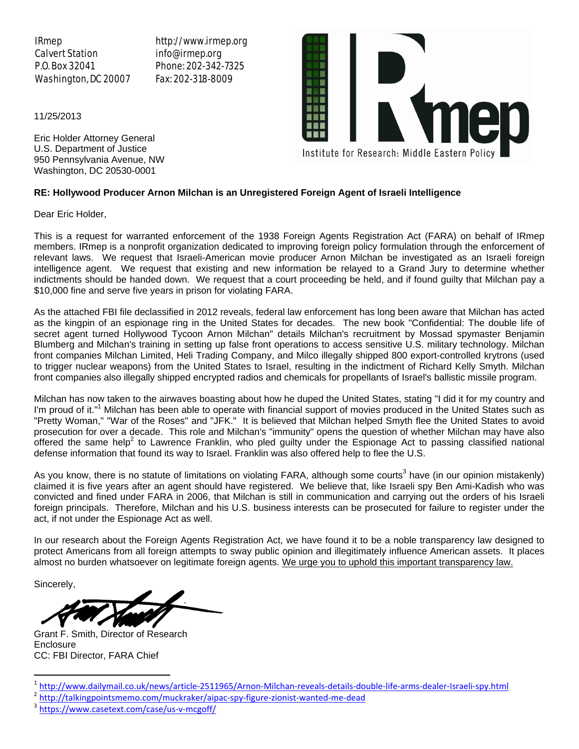IRmep Calvert Station P.O. Box 32041 Washington, DC 20007 http://www.irmep.org info@irmep.org Phone: 202-342-7325 Fax: 202-318-8009



11/25/2013

Eric Holder Attorney General U.S. Department of Justice 950 Pennsylvania Avenue, NW Washington, DC 20530-0001

## **RE: Hollywood Producer Arnon Milchan is an Unregistered Foreign Agent of Israeli Intelligence**

Dear Eric Holder,

This is a request for warranted enforcement of the 1938 Foreign Agents Registration Act (FARA) on behalf of IRmep members. IRmep is a nonprofit organization dedicated to improving foreign policy formulation through the enforcement of relevant laws. We request that Israeli-American movie producer Arnon Milchan be investigated as an Israeli foreign intelligence agent. We request that existing and new information be relayed to a Grand Jury to determine whether indictments should be handed down. We request that a court proceeding be held, and if found guilty that Milchan pay a \$10,000 fine and serve five years in prison for violating FARA.

As the attached FBI file declassified in 2012 reveals, federal law enforcement has long been aware that Milchan has acted as the kingpin of an espionage ring in the United States for decades. The new book "Confidential: The double life of secret agent turned Hollywood Tycoon Arnon Milchan" details Milchan's recruitment by Mossad spymaster Benjamin Blumberg and Milchan's training in setting up false front operations to access sensitive U.S. military technology. Milchan front companies Milchan Limited, Heli Trading Company, and Milco illegally shipped 800 export-controlled krytrons (used to trigger nuclear weapons) from the United States to Israel, resulting in the indictment of Richard Kelly Smyth. Milchan front companies also illegally shipped encrypted radios and chemicals for propellants of Israel's ballistic missile program.

Milchan has now taken to the airwaves boasting about how he duped the United States, stating "I did it for my country and I'm proud of it."<sup>1</sup> Milchan has been able to operate with financial support of movies produced in the United States such as "Pretty Woman," "War of the Roses" and "JFK." It is believed that Milchan helped Smyth flee the United States to avoid prosecution for over a decade. This role and Milchan's "immunity" opens the question of whether Milchan may have also offered the same help<sup>2</sup> to Lawrence Franklin, who pled guilty under the Espionage Act to passing classified national defense information that found its way to Israel. Franklin was also offered help to flee the U.S.

As you know, there is no statute of limitations on violating FARA, although some courts<sup>3</sup> have (in our opinion mistakenly) claimed it is five years after an agent should have registered. We believe that, like Israeli spy Ben Ami-Kadish who was convicted and fined under FARA in 2006, that Milchan is still in communication and carrying out the orders of his Israeli foreign principals. Therefore, Milchan and his U.S. business interests can be prosecuted for failure to register under the act, if not under the Espionage Act as well.

In our research about the Foreign Agents Registration Act, we have found it to be a noble transparency law designed to protect Americans from all foreign attempts to sway public opinion and illegitimately influence American assets. It places almost no burden whatsoever on legitimate foreign agents. We urge you to uphold this important transparency law.

Sincerely,

 $\overline{\phantom{a}}$ 

Grant F. Smith, Director of Research **Enclosure** CC: FBI Director, FARA Chief

<sup>&</sup>lt;sup>1</sup>http://www.dailymail.co.uk/news/article-2511965/Arnon-Milchan-reveals-details-double-life-arms-dealer-Israeli-spy.html<br><sup>2</sup>http://talkingpointsmemo.com/muckraker/aipac-spy-figure-zionist-wanted-me-dead<br><sup>3</sup>https://www.cas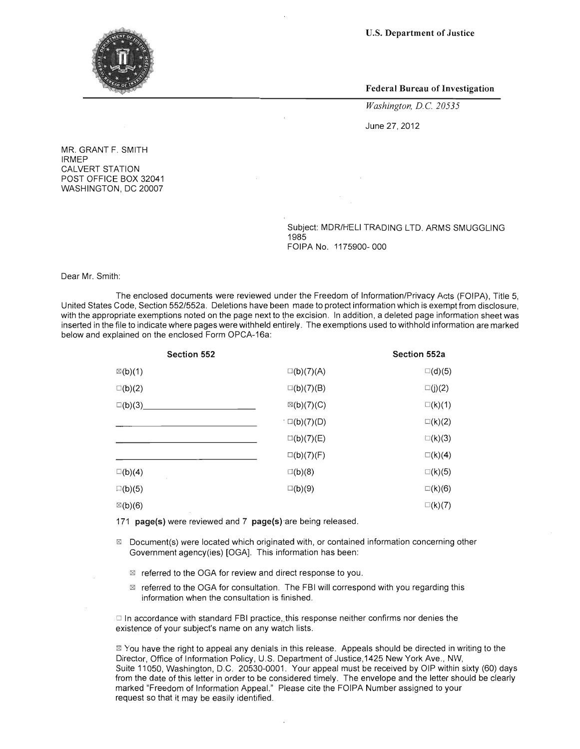U.S. Department of Justice



Federal Bureau of Investigation

*Washington, D.C 20535* 

June 27, 2012

MR. GRANT F. SMITH IRMEP CALVERT STATION POST OFFICE BOX 32041 WASHINGTON, DC 20007

> Subject: MDR/HELI TRADING LTD. ARMS SMUGGLING 1985 FOIPA No. 1175900- 000

Dear Mr. Smith:

The enclosed documents were reviewed under the Freedom of Information/Privacy Acts (FOIPA), Title 5, United States Code, Section 552/552a. Deletions have been made to protect information which is exempt from disclosure, with the appropriate exemptions noted on the page next to the excision. In addition, a deleted page information sheet was inserted in the file to indicate where pages were withheld entirely. The exemptions used to withhold information are marked below and explained on the enclosed Form OPCA-16a:

| <b>Section 552</b> |                       | <b>Section 552a</b> |
|--------------------|-----------------------|---------------------|
| $\mathbb{Z}(b)(1)$ | $\square(b)(7)(A)$    | $\square$ (d)(5)    |
| $\square(b)(2)$    | $\square(b)(7)(B)$    | $\square(j)(2)$     |
| $\square$ (b)(3)   | $\boxtimes$ (b)(7)(C) | $\square(k)(1)$     |
|                    | $\cdot \Box(b)(7)(D)$ | $\square(k)(2)$     |
|                    | $\square(b)(7)(E)$    | $\square$ (k)(3)    |
|                    | $\square(b)(7)(F)$    | $\Box(k)(4)$        |
| $\square(b)(4)$    | $\square(b)(8)$       | $\square$ (k)(5)    |
| $\square(b)(5)$    | $\square(b)(9)$       | $\square$ (k)(6)    |
| $\boxtimes$ (b)(6) |                       | $\square$ (k)(7)    |

171 page(s) were reviewed and 7 page(s) are being released.

- $\boxtimes$  Document(s) were located which originated with, or contained information concerning other Government agency(ies) [OGA]. This information has been:
	- $\boxtimes$  referred to the OGA for review and direct response to you.
	- $\boxtimes$  referred to the OGA for consultation. The FBI will correspond with you regarding this information when the consultation is finished.

 $\Box$  In accordance with standard FBI practice, this response neither confirms nor denies the existence of your subject's name on any watch lists.

⊠ You have the right to appeal any denials in this release. Appeals should be directed in writing to the Director, Office of Information Policy, U.S. Department of Justice,1425 New York Ave., NW, Suite 11050, Washington, D.C. 20530-0001. Your appeal must be received by OIP within sixty (60) days from the date of this letter in order to be considered timely. The envelope and the letter should be clearly marked "Freedom of Information Appeal." Please cite the FOIPA Number assigned to your request so that it may be easily identified.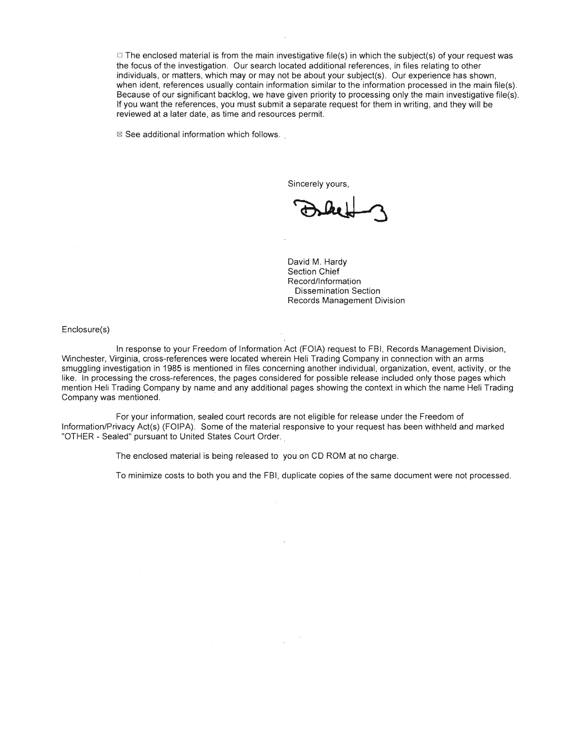$\Box$  The enclosed material is from the main investigative file(s) in which the subject(s) of your request was the focus of the investigation. Our search located additional references, in files relating to other individuals, or matters, which mayor may not be about your subject(s). Our experience has shown, when ident, references usually contain information similar to the information processed in the main file(s). Because of our significant backlog, we have given priority to processing only the main investigative file(s). If you want the references, you must submit a separate request for them in writing, and they will be reviewed at a later date, as time and resources permit.

 $\boxtimes$  See additional information which follows.

Sincerely yours,

David M. Hardy Section Chief Record/Information Dissemination Section Records Management Division

Enclosure(s)

In response to your Freedom of Information Act (FOIA) request to FBI, Records Management Division, Winchester, Virginia, cross-references were located wherein Heli Trading Company in connection with an arms smuggling investigation in 1985 is mentioned in files concerning another individual, organization, event, activity, or the like. In processing the cross-references, the pages considered for possible release included only those pages which mention Heli Trading Company by name and any additional pages showing the context in which the name Heli Trading Company was mentioned.

For your information, sealed court records are not eligible for release under the Freedom of Information!Privacy Act(s) (FOIPA). Some of the material responsive to your request has been withheld and marked "OTHER - Sealed" pursuant to United States Court Order..

The enclosed material is being released to you on CD ROM at no charge.

To minimize costs to both you and the FBI, duplicate copies of the same document were not processed.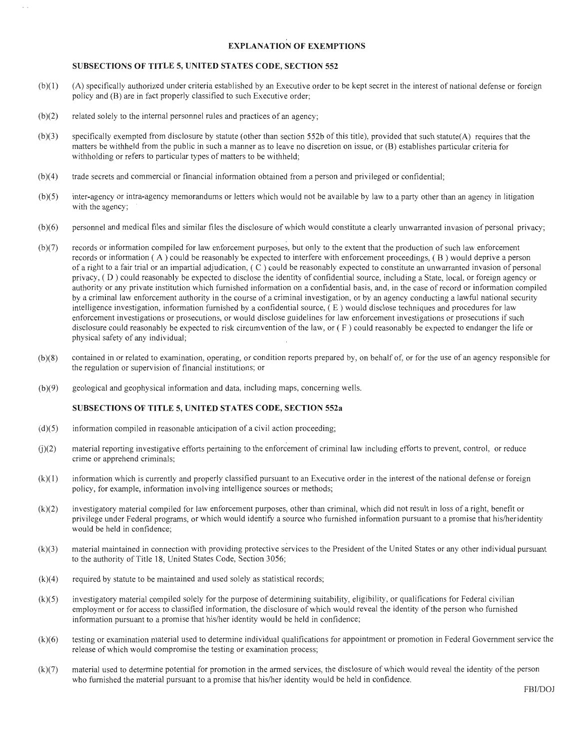## **EXPLANATION OF EXEMPTIONS**

## **SUBSECTIONS OF TITLE 5, UNITED STATES CODE, SECTION 552**

- (b)( I) (A) specifically authorized under criteria established by an Executive order to be kept secret in the interest of national defense or foreign policy and (B) are in fact properly classified to such Executive order;
- (b)(2) related solely to the internal personnel rules and practices of an agency;
- $(b)(3)$  specifically exempted from disclosure by statute (other than section 552b of this title), provided that such statute(A) requires that the matters be withheld from the public in such a manner as to leave no discretion on issue, or (B) establishes particular criteria for withholding or refers to particular types of matters to be withheld;
- (b)(4) trade secrets and commercial or financial information obtained from a person and privileged or confidential;
- (b)(5) inter-agency or intra-agency memorandums or letters which would not be available by law to a party other than an agency in litigation with the agency;
- (b)(6) personnel and medical files and similar files the disclosure of which would constitute a clearly unwarranted invasion of personal privacy;
- (b)(7) records or information compiled for law enforcement purposes, but only to the extent that the production of such law enforcement records or infonnation ( A) could be reasonably be expected to interfere with enforcement proceedings, ( B ) would deprive a person of a right to a fair trial or an impartial adjudication, ( C ) could be reasonably expected to constitute an unwarranted invasion of personal privacy, ( D) could reasonably be expected to disclose the identity of confidential source, including a State, local, or foreign agency or authority or any private institution which furnished information on a confidential basis, and, in the case of record or infonnation compiled by a criminal law enforcement authority in the course of a criminal investigation, or by an agency conducting a lawful national security intelligence investigation, information furnished by a confidential source,  $(E)$  would disclose techniques and procedures for law enforcement investigations or prosecutions, or would disclose guidelines for law enforcement investigations or prosecutions if such disclosure could reasonably be expected to risk circumvention of the law, or ( F) could reasonably be expected to endanger the life or physical safety of any individual;
- (b)(8) contained in or related to examination, operating, or condition reports prepared by, on behalf of, or for the use of an agency responsible for the regulation or supervision of financial institutions; or
- (b)(9) geological and geophysical infonnation and data, including maps, concerning wells.

## **SUBSECTIONS OF TITLE 5, UNITED STATES CODE, SECTION 552a**

- $(d)(5)$  information compiled in reasonable anticipation of a civil action proceeding;
- U)(2) material reporting investigative efforts pertaining to the enforcement of criminal law including efforts to prevent, control, or reduce crime or apprehend criminals;
- (k)(1 ) information which is currently and properly classified pursuant to an Executive order in the interest of the national defense or foreign policy, for example, infonnation involving intelligence sources or methods;
- (k)(2) investigatory material compiled for law enforcement purposes, other than criminal, which did not result in loss of a right, benefit or privilege under Federal programs, or which would identify a source who furnished information pursuant to a promise that his/heridentity would be held in confidence;
- (k)(3) material maintained in connection with providing protective services to the President of the United States or any other individual pursuant to the authority of Title 18, United States Code, Section 3056;
- $(k)(4)$  required by statute to be maintained and used solely as statistical records;
- (k)(5) investigatory material compiled solely for the purpose of determining suitability, eligibility, or qualifications for Federal civilian employment or for access to classified information, the disclosure of which would reveal the identity of the person who furnished information pursuant to a promise that his/her identity would be held in confidence;
- (k)(6) testing or examination material used to determine individual qualifications for appointment or promotion in Federal Government service the release of which would compromise the testing or examination process;
- (k)(7) material used to determine potential for promotion in the anned services, the disclosure of which would reveal the identity of the person who furnished the material pursuant to a promise that his/her identity would be held in confidence.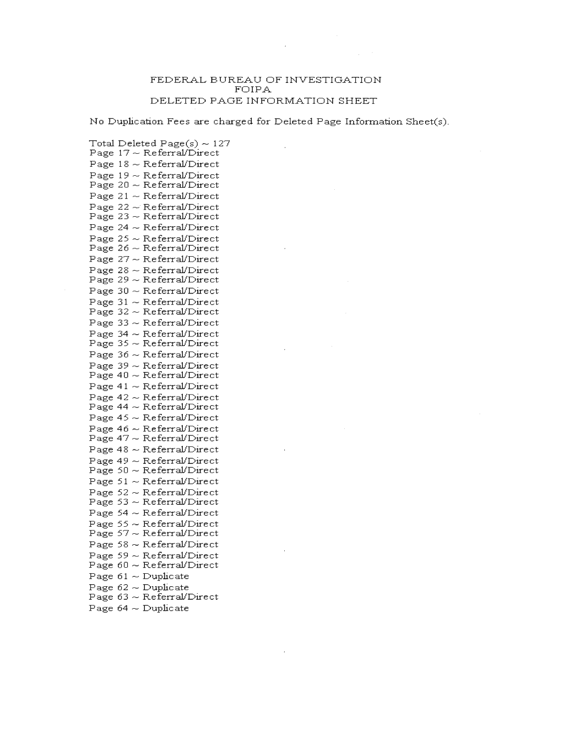## FEDERAL BUREAU OF INVESTIGATION FOIPA DELETED PAGE INFORMATION SHEET

No Duplication Fees are charged for Deleted Page Information Sheet(s).

Total Deleted Page(s)  $\sim$  127 Page  $17 \sim \text{Referral/Direct}$ Page  $18 \sim \text{Referra}/\text{Direct}$ Page  $19 \sim \text{Referral/Direct}$ Page  $20 \sim \text{Referral/Direct}$ Page  $21 \sim \text{Referral/Direct}$ Page  $22 \sim \text{Referral/Direct}$ Page  $23 \sim \text{Referral/Direct}$ Page  $24 \sim \text{Referral/Direct}$ Page  $25 \sim \text{Referral/Direct}$ Page  $26 \sim \text{Referral/Direct}$ Page  $27 \sim \text{Referral/Direct}$ Page  $28 \sim \text{Referral/Direct}$ Page  $29 \sim \text{Referral/Direct}$ Page  $30 \sim \text{Referral/Direct}$ Page  $31 \sim \text{Referral/Direct}$ Page  $32 \sim \text{Referral/Direct}$ Page  $33 \sim \text{Referral/Direct}$ Page  $34 \sim \text{Referral/Direct}$ Page  $35 \sim \text{Referral/Direct}$ Page 36 ~ Referral/Direct Page 39  $\sim$  Referral/Direct Page  $40 \sim \text{Referral/Direct}$ Page  $41 \sim \text{Referral/Direct}$ Page  $42 \sim \text{Referral/Direct}$ Page  $44 \sim$  Referral/Direct Page  $45 \sim \text{Referral/Direct}$ Page  $46 \sim \text{Referral/Direct}$ Page  $47 \sim \text{Referral/Direct}$ Page  $48 \sim \text{Referral/Direct}$ Page  $49 \sim \text{Referral/Direct}$ Page  $50 \sim \text{Referral/Direct}$ Page  $51 \sim \text{Referral/Direct}$ Page  $52 \sim \text{Referral/Direct}$ Page  $53 \sim \text{Referral/Direct}$ Page  $54 \sim$  Referral/Direct Page  $55 \sim \text{Referral/Direct}$ Page  $57 \sim \text{Referral/Direct}$ Page  $58 \sim$  Referral/Direct Page  $59 \sim \text{Referral/Direct}$ Page  $60 \sim \text{Referral/Direct}$ Page  $61 \sim$  Duplicate Page  $62 \sim$  Duplicate Page  $63 \sim \text{Referral/Direct}$ Page  $64 \sim$  Duplicate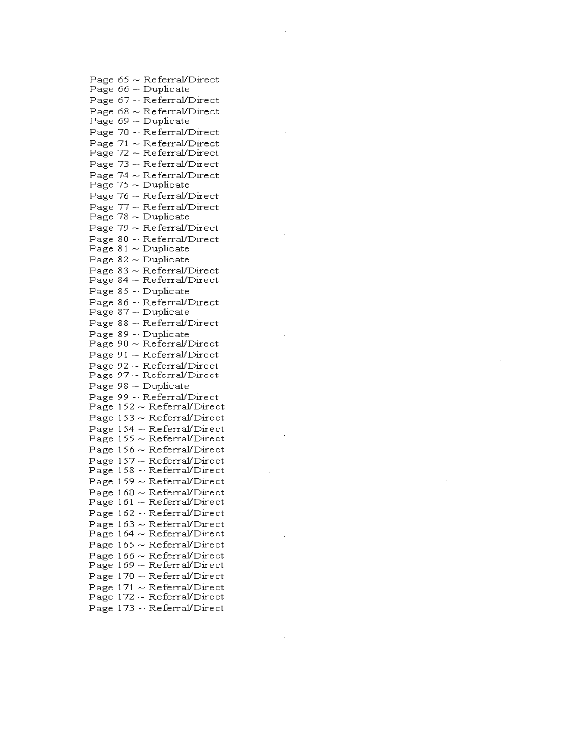Page 65 Re ferralfDire ct Page 66 Duplicate Page 67 ReferralfDirect Page 68  $\sim$  Referral/Direct Page 69 Duplicate Page 70 ReferralfDirect Page 71 ReferralfDirect Page 72 ~ Referral/Direct Page 73 ReferralfDirect Page 74 ReferralfDirect Page 75 Duplicate Page 76 ReferralfDirect Page 77 Re ferralfDire ct Page 78 Duplicate Page 79 Re ferralfDire ct Page 80 ReferralfDirect Page 81  $\sim$  Duplicate Page 82 Duplic ate Page 83 Re ferralfDire ct Page 84  $\sim$  Referral/Direct Page 85 Duplic ate Page 86 ReferralfDirect Page 87 Duplicate Page 88 Re ferralfDire ct Page 89 Duplic ate Page 90 Re ferralfDire ct Page 91 ~ Referral/Direct Page 92 Re ferralfDire ct Page 97 Re ferralfDire ct Page 98 Duplicate Page 99 Re ferralfDire ct Page 152 Re ferralfDire ct Page 153 Re ferralfDire ct Page 154 Re ferralfDire ct Page 155 Re ferralfDire ct Page 156 Re ferralfDire ct Page 157 ReferralfDirect Page 158 Re ferralfDire ct Page 159 ReferralfDirect Page 1 60 Re ferralfDire ct Page 161 ReferralfDirect Page 162 Re ferralfDire ct Page 163 ReferralfDirect Page 164  $\sim$  Referral/Direct Page 165 Re ferralfDire ct Page 166 Re ferralfDire ct Page 169 Re ferralfDire ct Page 170 Re ferralfDire ct Page 171 Re ferralfDire ct Page 172  $\sim$  Referral/Direct Page 173 ~ Referral/Direct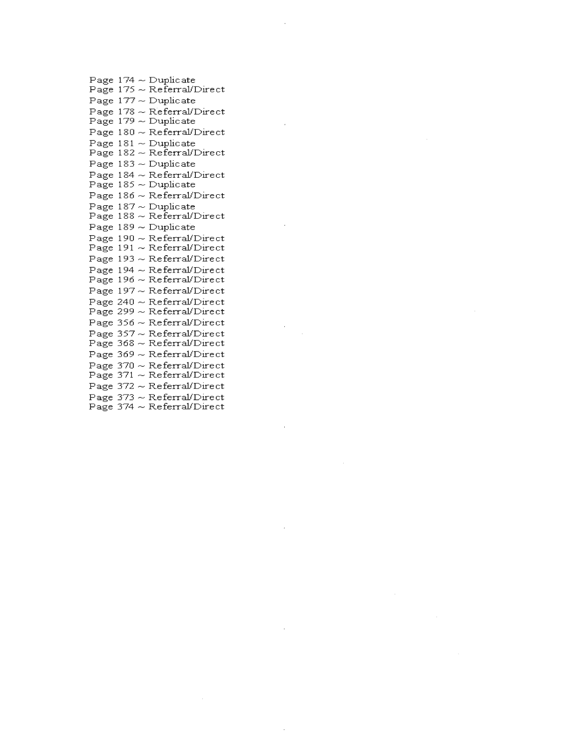Page 174 Duplic ate Page 175 Re ferralJDire ct Page 177 Duplicate Page 178 Re ferralJDire ct Page 179 Duplicate Page 180 ReferralJDirect Page 181 Duplicate Page 182 ReferralJDirect Page 183 Duplicate Page 184 ReferralJDirect Page 185 Duplic ate Page 186 Re ferralJDire ct Page 187 Duplic ate Page 188 Re ferralJDire ct Page 189 Duplicate Page 190 ~ Referral/Direct Page 191 ReferralJDirect Page 193 ~ Referral/Direct Page 194 ReferralJDirect Page 196 ReferralJDirect Page 197 Re ferralJDire ct Page 240 ReferralJDirect Page 299 ReferralJDirect Page 356 Re ferralJDire ct Page 357 ~ Referral/Direct Page 368 Re ferralJDire ct Page 369 Re ferralJDire ct Page 370 ReferralJDirect Page 371 ReferralJDirect Page 372 ReferralJDirect Page 373 ReferralJDirect Page 374 ReferralJDirect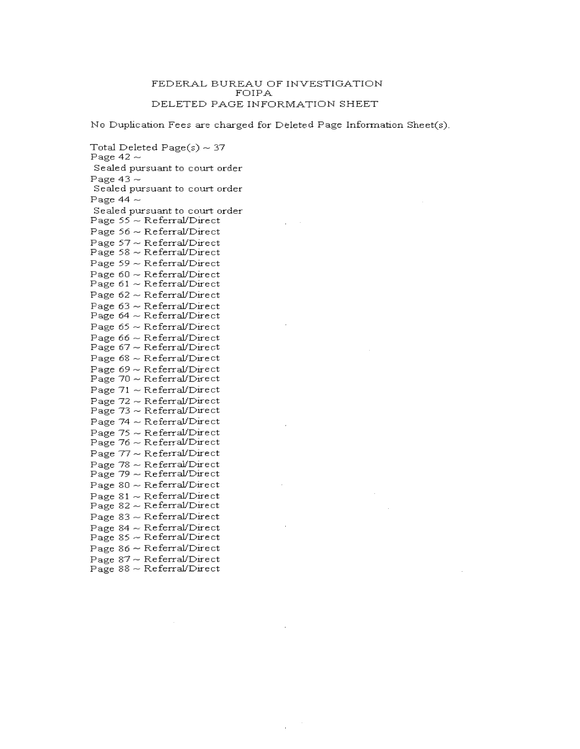## FEDERAL BUREAU OF INVESTIGATION FOIPA DELETED PAGE INFORMATION SHEET

No Duplication Fees are charged for Deleted Page Information Sheet(s).

Total Deleted Page(s)  $\sim$  37 Page 42  $\sim$ Sealed pursuant to court order Page 43  $\sim$ Sealed pursuant to court order Page 44  $\sim$ Sealed pursuant to court order Page  $55 \sim \text{Referral/Direct}$ Page  $56 \sim \text{Referral/Direct}$ Page 57 ~ Referral/Direct Page  $58 \sim \text{Referral/Direct}$ Page  $59 \sim \text{Referral/Direct}$ Page  $60 \sim \text{Referral/Direct}$ Page  $61 \sim \text{Referral/Direct}$ Page  $62 \sim \text{Referral/Direct}$ Page  $63 \sim$  Referral/Direct Page  $64 \sim \text{Referral/Direct}$ Page  $65 \sim \text{Referral/Direct}$ Page  $66 \sim \text{Referral/Direct}$ Page  $67 \sim$  Referral/Direct Page  $68 \sim$  Referral/Direct Page  $69 \sim \text{Referral/Direct}$ Page  $70 \sim \text{Referral/Direct}$ Page  $71 \sim$  Referral/Direct Page  $72 \sim \text{Referral/Direct}$ Page  $73 \sim \text{Referral/Direct}$ Page  $74 \sim$  Referral/Direct Page  $75 \sim \text{Referral/Direct}$ Page  $76 \sim \text{Referral/Direct}$ Page  $77 \sim$  Referral/Direct Page 78  $\sim$  Referral/Direct  $Page 79 \sim Referal/Direct$ Page  $80 \sim \text{Referral/Direct}$ Page  $81 \sim \text{Referral/Direct}$ Page  $82 \sim \text{Referral/Direct}$ Page  $83 \sim \text{Referra}/\text{Direct}$ Page  $84 \sim$  Referral/Direct Page  $85 \sim \text{Referral/Direct}$ Page  $86 \sim \text{Referral/Direct}$ Page 87 ~ Referral/Direct Page  $88 \sim \text{Referral/Direct}$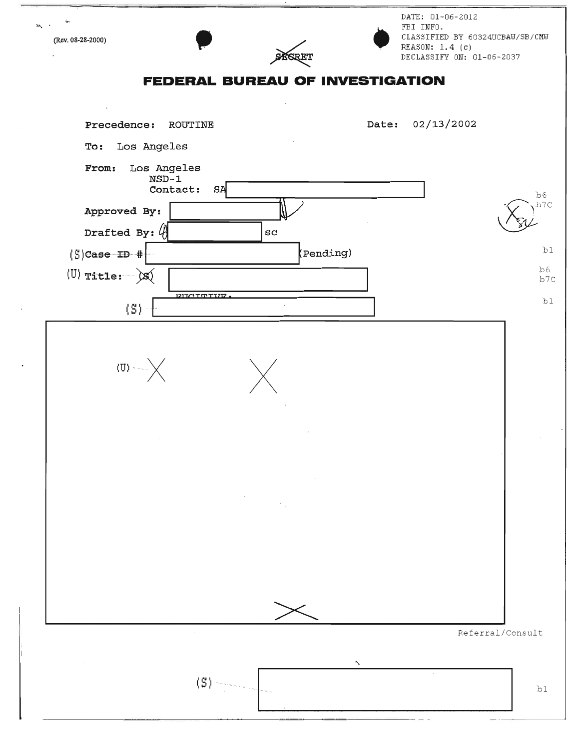**PERRET** DATE: 01-06-2012 FBI INFO. CLASSIFIED BY 60324UCBAlJ/SB/CMlJ (ReV. 08.28-2000)  $REASON: 1.4 (c)$ DECLASSIFY ON: 01-06-2037 **FEDERAL BUREAU OF INVESTIGATION** Precedence: ROUTINE Date: 02/13/2002 To: Los Angeles From: Los Angeles NSD-l Contact: SA Approved By: Drafted By:  $\langle \mathbf{A} |$  sc  $\mathcal{L}$   $\sum_{p \geq 0}$  $(S)$ Case ID # $\overline{P}$  bl (U) Title: ···j:s:t-;---;==============-------,I b6 b7C (5:1 + **pXTCTTT l m .**  I bl  $(U)$  ·  $X$ Referral/Consult  $\text{S}$  blue the contraction of the contraction of the contraction of the contraction of the contraction of the contraction of the contraction of the contraction of the contraction of the contraction of the contraction of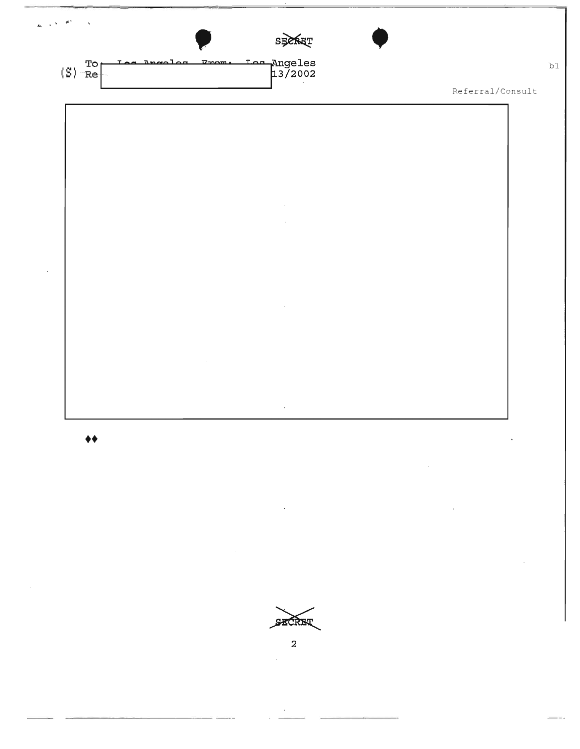

SECRET

 $\overline{a}$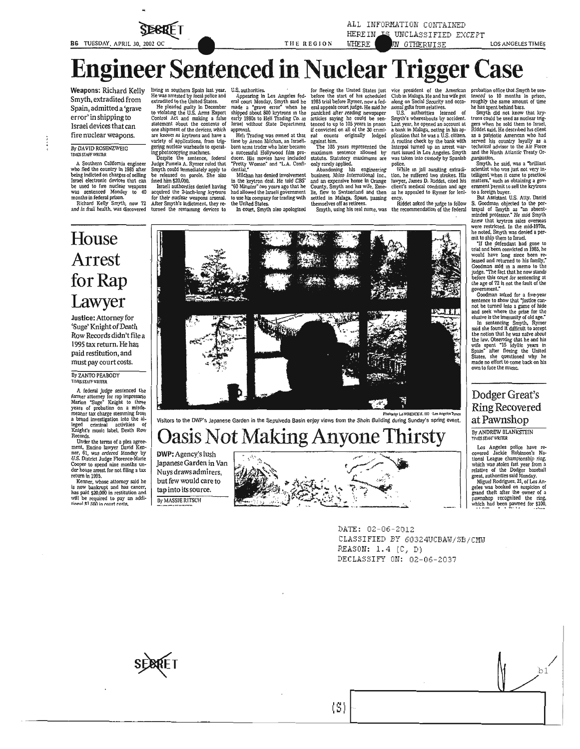**STERRIE 1** 

THE REGION

## **Engineer Sentenced in Nuclear Trigger (** ase

Weapons: Richard Kelly Smyth, extradited from Spain, admitted a 'grave error' in shipping to Israel devices that can fire nuclear weapons.

#### By DAVID ROSENZWEIG **TIMES STAFF WRITER**

A Southern California engineer A southern canonia eigeneer<br>who fled the country in 1985 after<br>being indicted on charges of selling<br>Israel electronic devices that can be used to fire nuclear weapons<br>was sentenced Monday to 40 months in federal prison.<br>Richard Kelly Smyth, now 72

and in frail health, was discovered

House

Arrest

for Rap

Lawyer Justice: Attorney for 'Suge' Knight of Death

By ZANTO PEABODY **TIMES STAFF WRITER** 

Records

return in 1995.

Row Records didn't file a 1995 tax return. He has paid restitution, and must pay court costs.

A federal judge sentenced the<br>former attorney for rap impresario<br>Marion "Suge" Knight to three<br>years of probation on a misde-

reanor tax charge stemming from<br>a broad investigation into the al-<br>leged criminal activities of<br>Knight's music label, Death Row

Records.<br>
Under the terms of a plea agree-<br>
Under the terms of a plea agree-<br>
ment, Encino lawyer David Ken-<br>
1U.S. District Judge Florence-Marie<br>
U.S. District Judge Florence-Marie<br>
Cooper to spend nine months under<br>
hous

Kenner, whose attorney said he<br>is now bankrupt and has cancer,<br>has paid \$20,000 in restitution and

will be required to pay an addi-<br>tional \$1.500 in court costs.

living in southern Spain last year,<br>He was arrested by local police and<br>extradited to the United States.

He pleaded guilty in December<br>to violating the U.S. Arms Export<br>Control Act and making a false<br>statement about the contents of one shipment of the devices, which<br>are known as krytrons and have a variety of applications, from trigvariety of applications, from the<br>gering nuclear warheads to operating photocopying machines.<br>Despite the sentence, federal

Judge Pamela A. Rymer ruled that<br>Smyth could immediately apply to<br>be released on parole. She also<br>fined him \$20,000.

fined him \$20,000.<br>Israeli authorities denied having<br>acquired the 2-inch-long krytrons<br>for their nuclear weapons arsenal.<br>After Smyth's indictment, they returned the remaining devices to

U.S. authorities<br>
Appearing in Los Angeles federal court Monday, Smyth said he<br>
made a "grave error" when he<br>
shipped about 800 krytrons in the<br>
early 1980s to Heli Trading Co. in Israel without State Department  $\frac{1}{2}$ 

approval.<br>Heli Trading was owned at that<br>time by Arnon Milchan, an Israelitime by Arnon Milchan, an Israeli-<br>born arms trader who later became<br>a successful Hollywood film pro-<br>ducer. His movies have included<br>"Pretty Woman" and "L.A. Confi-<br>dential."

muan.<br>Milchan has denied involvement Michan has denied involvement<br>in the krytron deal. He told CBS<br>"60 Minutes" two years ago that he<br>had allowed the Israeli government<br>to use his company for trading with<br>the United States.

In court, Smyth also apologized

for fleeing the United States just<br>before the start of his scheduled<br>1985 trial before Rymer, now a fed-1930 trail elorer kymer, now a team<br>eral appeals court judge. He said he<br>panicked after reading newspaper<br>articles saying he could be sen-<br>tenced to up to 105 years in proson-<br>if convicted on all of the 30 crimi-<br>ral count

WHERE

igainst him.<br>The 105 years represented the The 105 years represented by statutory maximums are<br>above the only rarely applied.<br>Abouting his engineering boundary and boundary boundary boundary<br>business. Mico International In against him.

themselves off as retirees.

Smyth, using his real name, was

ALL INFORMATION CONTAINED

HEREIN IS UNCLASSIFIED EXCEPT

**N OTHERWISE** 

vice president of the American<br>Club in Malaga. He and his wife got<br>along on Social Security and occasional guids from relatives.<br>U.S. authorities learned of<br>Club is the security of the Sample in San year, he opened an acco A routine check by the bank with In routine check by the bank with<br>Interpol turned up an arrest war-<br>rant issued in Los Angeles. Smyth<br>was taken into custody by Spanish police.

police.<br>While in jail awaifing extradi-<br>tion, he suffered two strokes. His<br>lawyer, James D. Riddet, cited his<br>client's medical condition and age<br>as he appealed to Rymer for leni-<br>as he appealed to Rymer for leni-

ency.<br>Riddet asked the judge to follow the recommendation of the federal

probation office that Smyth be sentenced to 10 months in prison,<br>roughly the same amount of time<br>has spent behind bars.<br>Smyth did not know that kry-<br>Smyth did not know that kry-

LOS ANGELES TIMES

Smyth did not know that *xry*-<br>tors could be used as nuclear triggers when he sold them to Israel,<br>Riddet said. He described in science,<br>as a particule American who had<br>as served his country loyaly as a<br>technical advisor t ganiza

Smyth, he said, was a "brilliant sinyin, ne said, was a binnant<br>scientist who was just not very in-<br>telligent when it came to practical<br>matters," such as obtaining a government permit to sell the krytrons to a foreign buyer.<br>But Assistant U.S. Atty. Daniel

But Assistant U.S. Any Louis<br>
S. Goodman objected to the por-<br>
trayal of Smyth as "an absent-<br>
minded professor." He said Smyth<br>
knew that krytron sales overseas<br>
were restricted. In the mid-1970s, he noted, Smyth was denied a per-<br>mit to ship them to Israel.

"If the defendant had gone to<br>trial and been convicted in 1985, he<br>would have long since been re-<br>leased and returned to his family," coodman said in a memo to the<br>judge. "The fact that he now stands<br>before this court for sentencing at<br>the age of 72 is not the fault of the government."

government-<br>codman asked for a five-year sentence to show that "justice cannot be turned into a game of hide<br>and seek where the prize for the elustric side invariantly of old age.<br>This is immunity of a large state in the s

stati she found it turns turns that the motion that he was naïve about<br>the law. Observing that he and his<br>wife spent "15 olylic years in<br>Signin" after fleeing the United<br>States, she questioned why he<br>made no effort to come own to face the music.

## Dodger Great's **Ring Recovered** at Pawnshop

By ANDREW BLANKSTEIN

TIMES STAFF WRITER

Los Angeles police have re-<br>covered Jackie Robinson's National League championship ring,<br>which was stolen last year from a<br>relative of the Dodger baseball<br>great, authorities said Monday. great, authorities said honday.<br>
Miguel Rodriguez, 21, of Los Angeles was booked on suspicion of<br>
grand theft after the owner of a<br>
pawnshop recognized the ring,<br>
which had been pawned for \$100,<br>
which had been pawned for

 $b1$ 

Photoshy LAWREXCEK. IIO 1.00 Angeles Times<br>to the DWP's Japanese Garden in the Sepulveda Basin enjoy views from the Shoin Bullding during Sunday's spring event.

# **Oasis Not Making Anyone Thirsty**

DWP: Agency's lush Japanese Garden in Van Nuys draws admirers, but few would care to tap into its source. **By MASSIE RITSCH** 



DATE: 02-06-2012 CLASSIFIED BY 60324UCBAW/SB/CMW REASON: 1.4 (C, D) DECLASSIFY ON: 02-06-2037



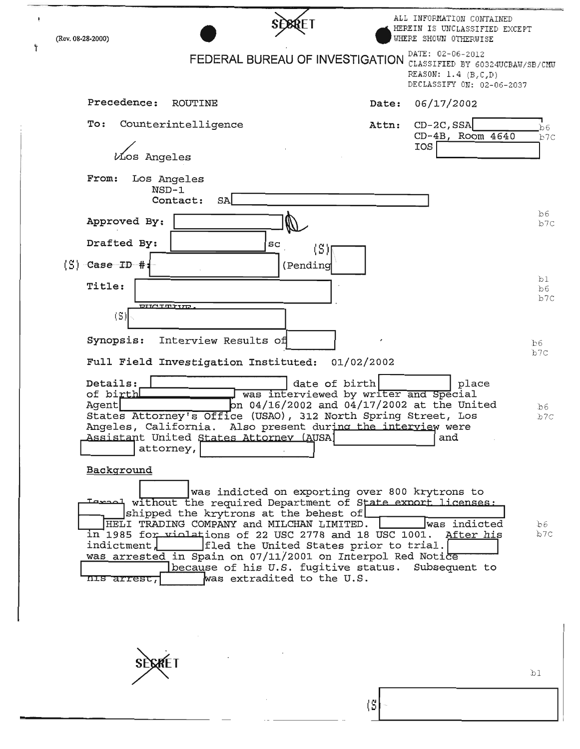|                                                                                                                                                                                                                                                                                                                                                  |                                                                                                                                                                                |       | ALL INFORMATION CONTAINED<br>HEREIN IS UNCLASSIFIED EXCEPT                                                                         |                  |
|--------------------------------------------------------------------------------------------------------------------------------------------------------------------------------------------------------------------------------------------------------------------------------------------------------------------------------------------------|--------------------------------------------------------------------------------------------------------------------------------------------------------------------------------|-------|------------------------------------------------------------------------------------------------------------------------------------|------------------|
| (Rev. 08-28-2000)                                                                                                                                                                                                                                                                                                                                | FEDERAL BUREAU OF INVESTIGATION                                                                                                                                                |       | WHERE SHOWN OTHERWISE<br>DATE: 02-06-2012<br>CLASSIFIED BY 60324UCBAW/SB/CMW<br>REASON: $1.4$ (B,C,D)<br>DECLASSIFY ON: 02-06-2037 |                  |
| Precedence:<br>ROUTINE                                                                                                                                                                                                                                                                                                                           |                                                                                                                                                                                | Date: | 06/17/2002                                                                                                                         |                  |
| Counterintelligence<br>To:<br><i>V</i> ios Angeles                                                                                                                                                                                                                                                                                               |                                                                                                                                                                                | Attn: | $CD-2C$ , SSA<br>$CD-4B$ , Room $4640$<br>IOS                                                                                      | b6<br>b7C        |
| From:<br>Los Angeles<br>$NSD-1$<br>Contact:<br>SA                                                                                                                                                                                                                                                                                                |                                                                                                                                                                                |       |                                                                                                                                    |                  |
| Approved By:                                                                                                                                                                                                                                                                                                                                     |                                                                                                                                                                                |       |                                                                                                                                    | bb6<br>b7C       |
| Drafted By:<br>$(\mathbb{S})$ $\subset$ $\mathtt{Case}$ ID $\mathtt{#:}$                                                                                                                                                                                                                                                                         | sc<br>(S)<br>(Pending                                                                                                                                                          |       |                                                                                                                                    |                  |
| Title:                                                                                                                                                                                                                                                                                                                                           |                                                                                                                                                                                |       |                                                                                                                                    | b1<br>bb6<br>b7c |
| ang totan<br>(S)                                                                                                                                                                                                                                                                                                                                 |                                                                                                                                                                                |       |                                                                                                                                    |                  |
| Synopsis:<br>Interview Results of                                                                                                                                                                                                                                                                                                                |                                                                                                                                                                                |       |                                                                                                                                    | b6.              |
| Full Field Investigation Instituted:                                                                                                                                                                                                                                                                                                             | 01/02/2002                                                                                                                                                                     |       |                                                                                                                                    | b7C              |
| Details:<br>of birth<br>Agent<br>States Attorney's Office (USAO), 312 North Spring Street, Los<br>Angeles, California. Also present during the interview were<br>Assistant United States Attorney (AUSA)<br>attorney,                                                                                                                            | date of birth<br>was interviewed by writer and Special<br>on 04/16/2002 and 04/17/2002 at the United                                                                           |       | place<br>and                                                                                                                       | .b6<br>b7c       |
| Background<br>Tarial without the required Department of State export licenses:<br>shipped the krytrons at the behest of<br>HELI TRADING COMPANY and MILCHAN LIMITED.<br>$\overline{1}$ 1985 for violations of 22 USC 2778 and 18 USC 1001. After his<br>indictment,<br>was arrested in Spain on 07/11/2001 on Interpol Red Notice<br>nis arrest, | was indicted on exporting over 800 krytrons to<br> fled the United States prior to trial. <br>because of his U.S. fugitive status. Subsequent to<br>was extradited to the U.S. |       | was indicted                                                                                                                       | bb6<br>b7C       |
|                                                                                                                                                                                                                                                                                                                                                  |                                                                                                                                                                                |       |                                                                                                                                    |                  |

**SECKET** 

 $\ddot{\mathbf{r}}$ 

 $\mathtt{bl}$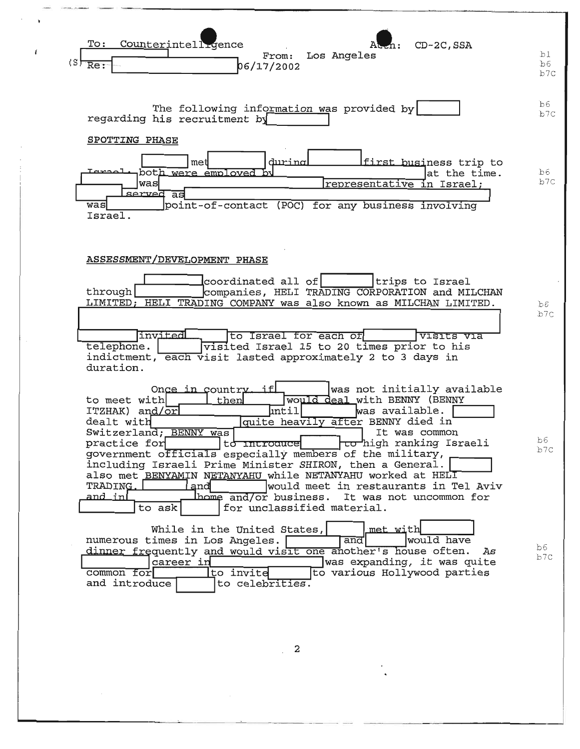

 $\mathbf{2}$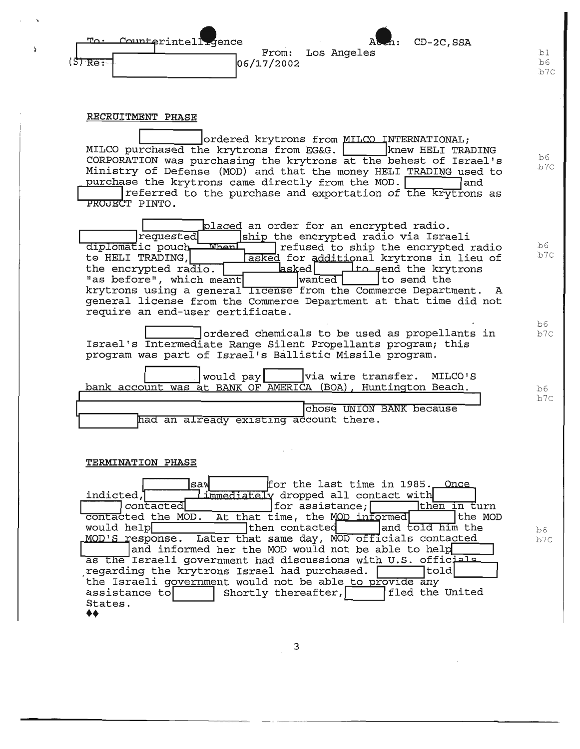

## RECRUITMENT PHASE

ordered krytrons from MILCO INTERNATIONAL; MILCO purchased the krytrons from EG&G. knew HELI TRADING CORPORATION was purchasing the krytrons at the behest of Israel's Ministry of Defense (MOD) and that the money HELI TRADING used to purchase the krytrons came directly from the MOD. land. referred to the purchase and exportation of the krytrons as PROJECT PINTO.

 $b6$ 

 $b6$ 

 $b6$ 

 $b6$  $b7c$ 

 $b6$ 

b7C

 $b7c$ 

b7C

 $b7C$ 

placed an order for an encrypted radio. *requested* ship the encrypted radio via Israeli **When** diplomatic pouch refused to ship the encrypted radio to HELI TRADING, asked for additional krytrons in lieu of asked| Ito send the krytrons the encrypted radio. wanted "as before", which meant to send the krytrons using a general *license* from the Commerce Department.  $\overline{\mathbf{A}}$ general license from the Commerce Department at that time did not require an end-user certificate.

ordered chemicals to be used as propellants in Israel's Intermediate Range Silent Propellants program; this program was part of Israel's Ballistic Missile program.

would pay via wire transfer. MILCO'S bank account was at BANK OF AMERICA (BOA), Huntington Beach. chose UNION BANK because

had an already existing account there.

### TERMINATION PHASE

for the last time in 1985. Once lsav indicted, limmediately dropped all contact with then in turn contacted  $|for$  assistance; contacted the MOD. At that time, the MOD informed the MOD would help  $\daleth$ then contacted and told him the MOD'S response. Later that same day, MOD officials contacted and informed her the MOD would not be able to help as the Israeli government had discussions with U.S. officials ヿto1d| regarding the krytrons Israel had purchased. the Israeli government would not be able to provide any assistance to Shortly thereafter, | | | | fled the United States.  $\clubsuit\spadesuit$ 

3